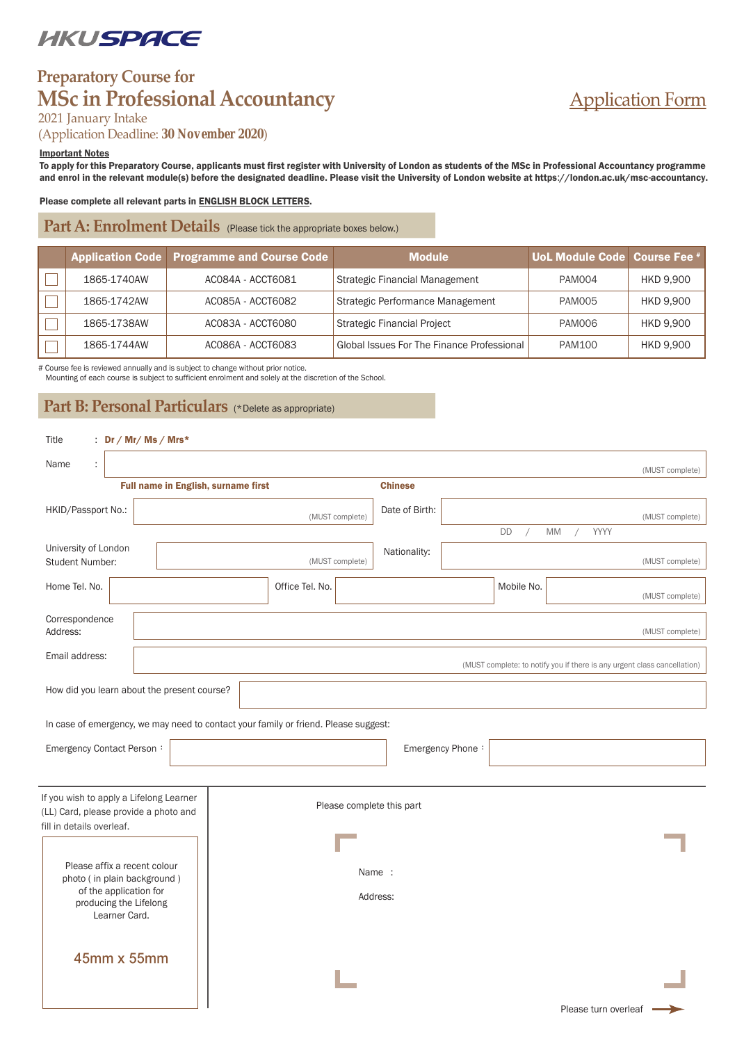# *UKUSPACE*

# **Preparatory Course for MSc in Professional Accountancy**

#### 2021 January Intake

(Application Deadline: *30 November 2020*)

#### Important Notes

To apply for this Preparatory Course, applicants must first register with University of London as students of the MSc in Professional Accountancy programme and enrol in the relevant module(s) before the designated deadline. Please visit the University of London website at https://london.ac.uk/msc-accountancy.

Application Form

#### Please complete all relevant parts in ENGLISH BLOCK LETTERS.

Part A: Enrolment Details (Please tick the appropriate boxes below.)

|             | Application Code Programme and Course Code | <b>Module</b>                              | UoL Module Code Course Fee # |                  |
|-------------|--------------------------------------------|--------------------------------------------|------------------------------|------------------|
| 1865-1740AW | AC084A - ACCT6081                          | Strategic Financial Management             | <b>PAM004</b>                | <b>HKD 9.900</b> |
| 1865-1742AW | AC085A - ACCT6082                          | Strategic Performance Management           | <b>PAM005</b>                | <b>HKD 9.900</b> |
| 1865-1738AW | AC083A - ACCT6080                          | <b>Strategic Financial Project</b>         | PAM006                       | <b>HKD 9.900</b> |
| 1865-1744AW | AC086A - ACCT6083                          | Global Issues For The Finance Professional | <b>PAM100</b>                | <b>HKD 9.900</b> |

# Course fee is reviewed annually and is subject to change without prior notice.

Mounting of each course is subject to sufficient enrolment and solely at the discretion of the School.

Part B: Personal Particulars (\*Delete as appropriate)

| : $Dr / Mr / Ms / Mrs*$<br>Title                                                    |                                     |                 |                           |                |                  |                  |                  |                      |                                                                          |
|-------------------------------------------------------------------------------------|-------------------------------------|-----------------|---------------------------|----------------|------------------|------------------|------------------|----------------------|--------------------------------------------------------------------------|
| Name<br>$\ddot{\phantom{a}}$                                                        |                                     |                 |                           |                |                  |                  |                  |                      | (MUST complete)                                                          |
|                                                                                     | Full name in English, surname first |                 |                           | <b>Chinese</b> |                  |                  |                  |                      |                                                                          |
| HKID/Passport No.:                                                                  |                                     |                 | (MUST complete)           | Date of Birth: |                  |                  |                  |                      | (MUST complete)                                                          |
|                                                                                     |                                     |                 |                           |                |                  | DD<br>$\sqrt{2}$ | MM<br>$\sqrt{2}$ | YYYY                 |                                                                          |
| University of London<br><b>Student Number:</b>                                      |                                     |                 | (MUST complete)           | Nationality:   |                  |                  |                  |                      | (MUST complete)                                                          |
| Home Tel. No.                                                                       |                                     | Office Tel. No. |                           |                |                  | Mobile No.       |                  |                      | (MUST complete)                                                          |
| Correspondence<br>Address:                                                          |                                     |                 |                           |                |                  |                  |                  |                      | (MUST complete)                                                          |
| Email address:                                                                      |                                     |                 |                           |                |                  |                  |                  |                      | (MUST complete: to notify you if there is any urgent class cancellation) |
| How did you learn about the present course?                                         |                                     |                 |                           |                |                  |                  |                  |                      |                                                                          |
| In case of emergency, we may need to contact your family or friend. Please suggest: |                                     |                 |                           |                |                  |                  |                  |                      |                                                                          |
| Emergency Contact Person:                                                           |                                     |                 |                           |                | Emergency Phone: |                  |                  |                      |                                                                          |
|                                                                                     |                                     |                 |                           |                |                  |                  |                  |                      |                                                                          |
| If you wish to apply a Lifelong Learner<br>(LL) Card, please provide a photo and    |                                     |                 | Please complete this part |                |                  |                  |                  |                      |                                                                          |
| fill in details overleaf.                                                           |                                     |                 |                           |                |                  |                  |                  |                      |                                                                          |
| Please affix a recent colour<br>photo (in plain background)                         |                                     | Name :          |                           |                |                  |                  |                  |                      |                                                                          |
| of the application for<br>producing the Lifelong                                    |                                     | Address:        |                           |                |                  |                  |                  |                      |                                                                          |
| Learner Card.                                                                       |                                     |                 |                           |                |                  |                  |                  |                      |                                                                          |
| 45mm x 55mm                                                                         |                                     |                 |                           |                |                  |                  |                  |                      |                                                                          |
|                                                                                     |                                     |                 |                           |                |                  |                  |                  |                      |                                                                          |
|                                                                                     |                                     |                 |                           |                |                  |                  |                  | Please turn overleaf |                                                                          |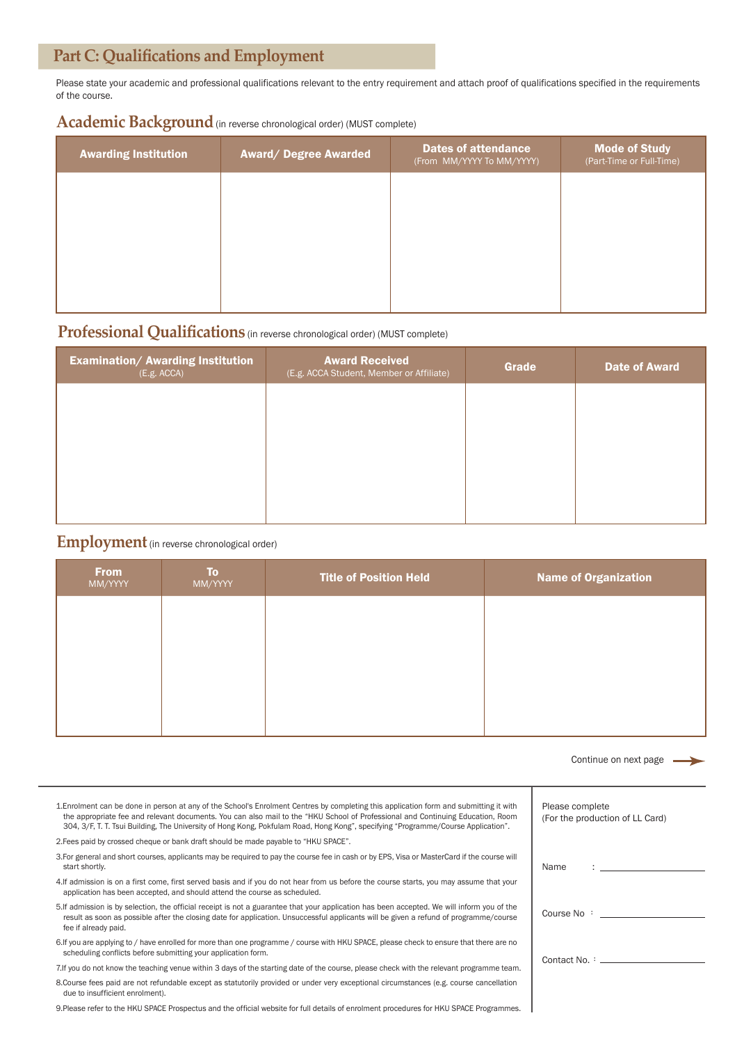# **Part C: Qualifications and Employment**

Please state your academic and professional qualifications relevant to the entry requirement and attach proof of qualifications specified in the requirements of the course.

Academic Background (in reverse chronological order) (MUST complete)

| <b>Awarding Institution</b> | <b>Award/ Degree Awarded</b> | <b>Dates of attendance</b><br>(From MM/YYYY To MM/YYYY) | <b>Mode of Study</b><br>(Part-Time or Full-Time) |
|-----------------------------|------------------------------|---------------------------------------------------------|--------------------------------------------------|
|                             |                              |                                                         |                                                  |
|                             |                              |                                                         |                                                  |
|                             |                              |                                                         |                                                  |
|                             |                              |                                                         |                                                  |

## **Professional Qualifications** (in reverse chronological order) (MUST complete)

| <b>Examination/ Awarding Institution</b><br>(E.g. ACCA) | <b>Award Received</b><br>(E.g. ACCA Student, Member or Affiliate) | <b>Grade</b> | <b>Date of Award</b> |
|---------------------------------------------------------|-------------------------------------------------------------------|--------------|----------------------|
|                                                         |                                                                   |              |                      |
|                                                         |                                                                   |              |                      |
|                                                         |                                                                   |              |                      |
|                                                         |                                                                   |              |                      |

#### **Employment** (in reverse chronological order)

| <b>From</b><br>MM/YYYY | <b>To</b><br>MM/YYYY | <b>Title of Position Held</b> | <b>Name of Organization</b> |
|------------------------|----------------------|-------------------------------|-----------------------------|
|                        |                      |                               |                             |
|                        |                      |                               |                             |
|                        |                      |                               |                             |
|                        |                      |                               |                             |

|                                                                                                                                                                                                                                                                                                                                                                                                                | Continue on next page $\longrightarrow$                                                                                                                                                                                       |
|----------------------------------------------------------------------------------------------------------------------------------------------------------------------------------------------------------------------------------------------------------------------------------------------------------------------------------------------------------------------------------------------------------------|-------------------------------------------------------------------------------------------------------------------------------------------------------------------------------------------------------------------------------|
| 1. Enrolment can be done in person at any of the School's Enrolment Centres by completing this application form and submitting it with<br>the appropriate fee and relevant documents. You can also mail to the "HKU School of Professional and Continuing Education, Room<br>304, 3/F, T. T. Tsui Building, The University of Hong Kong, Pokfulam Road, Hong Kong", specifying "Programme/Course Application". | Please complete<br>(For the production of LL Card)                                                                                                                                                                            |
| 2. Fees paid by crossed cheque or bank draft should be made payable to "HKU SPACE".                                                                                                                                                                                                                                                                                                                            |                                                                                                                                                                                                                               |
| 3. For general and short courses, applicants may be required to pay the course fee in cash or by EPS, Visa or MasterCard if the course will<br>start shortly.                                                                                                                                                                                                                                                  | Name                                                                                                                                                                                                                          |
| 4. If admission is on a first come, first served basis and if you do not hear from us before the course starts, you may assume that your<br>application has been accepted, and should attend the course as scheduled.                                                                                                                                                                                          |                                                                                                                                                                                                                               |
| 5. If admission is by selection, the official receipt is not a guarantee that your application has been accepted. We will inform you of the<br>result as soon as possible after the closing date for application. Unsuccessful applicants will be given a refund of programme/course<br>fee if already paid.                                                                                                   | Course No : the course of the course of the course of the course of the course of the course of the course of the course of the course of the course of the course of the course of the course of the course of the course of |
| 6. If you are applying to / have enrolled for more than one programme / course with HKU SPACE, please check to ensure that there are no<br>scheduling conflicts before submitting your application form.                                                                                                                                                                                                       |                                                                                                                                                                                                                               |
| 7. If you do not know the teaching venue within 3 days of the starting date of the course, please check with the relevant programme team.                                                                                                                                                                                                                                                                      | Contact No. : _________________                                                                                                                                                                                               |
| 8. Course fees paid are not refundable except as statutorily provided or under very exceptional circumstances (e.g. course cancellation<br>due to insufficient enrolment).                                                                                                                                                                                                                                     |                                                                                                                                                                                                                               |
| 9. Please refer to the HKU SPACE Prospectus and the official website for full details of enrolment procedures for HKU SPACE Programmes.                                                                                                                                                                                                                                                                        |                                                                                                                                                                                                                               |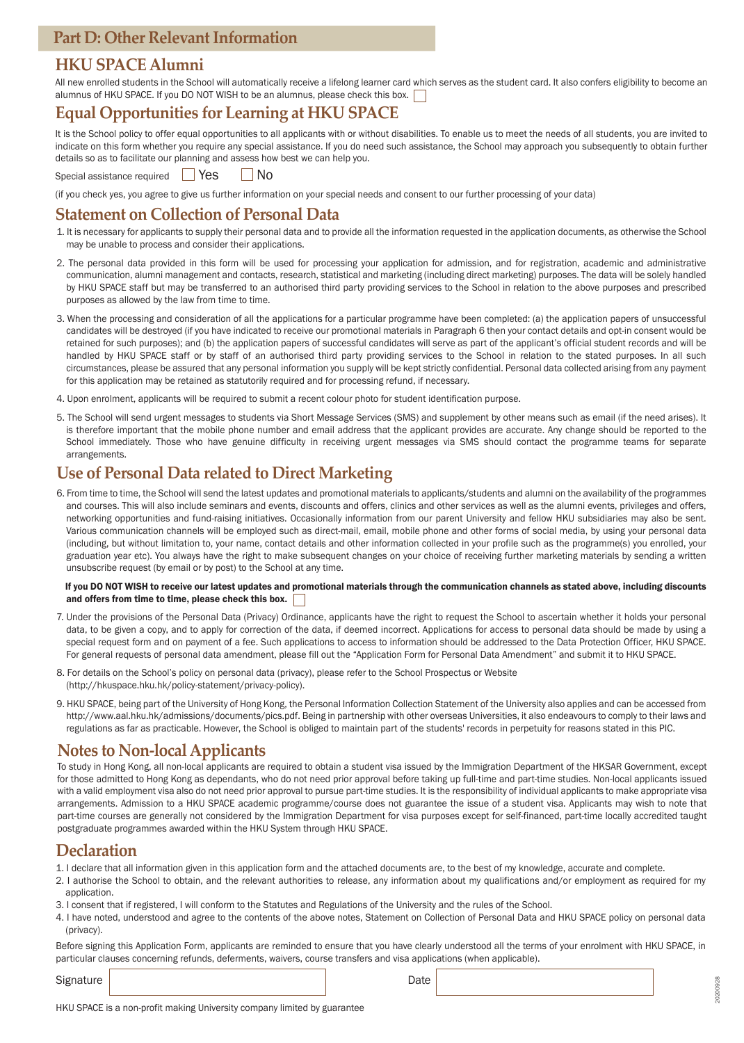### **HKU SPACE Alumni**

All new enrolled students in the School will automatically receive a lifelong learner card which serves as the student card. It also confers eligibility to become an alumnus of HKU SPACE. If you DO NOT WISH to be an alumnus, please check this box.

## **Equal Opportunities for Learning at HKU SPACE**

It is the School policy to offer equal opportunities to all applicants with or without disabilities. To enable us to meet the needs of all students, you are invited to indicate on this form whether you require any special assistance. If you do need such assistance, the School may approach you subsequently to obtain further details so as to facilitate our planning and assess how best we can help you.

Special assistance required  $\Box$  Yes  $\Box$  No

(if you check yes, you agree to give us further information on your special needs and consent to our further processing of your data)

#### **Statement on Collection of Personal Data**

- 1. It is necessary for applicants to supply their personal data and to provide all the information requested in the application documents, as otherwise the School may be unable to process and consider their applications.
- 2. The personal data provided in this form will be used for processing your application for admission, and for registration, academic and administrative communication, alumni management and contacts, research, statistical and marketing (including direct marketing) purposes. The data will be solely handled by HKU SPACE staff but may be transferred to an authorised third party providing services to the School in relation to the above purposes and prescribed purposes as allowed by the law from time to time.
- 3. When the processing and consideration of all the applications for a particular programme have been completed: (a) the application papers of unsuccessful candidates will be destroyed (if you have indicated to receive our promotional materials in Paragraph 6 then your contact details and opt-in consent would be retained for such purposes); and (b) the application papers of successful candidates will serve as part of the applicant's official student records and will be handled by HKU SPACE staff or by staff of an authorised third party providing services to the School in relation to the stated purposes. In all such circumstances, please be assured that any personal information you supply will be kept strictly confidential. Personal data collected arising from any payment for this application may be retained as statutorily required and for processing refund, if necessary.
- 4. Upon enrolment, applicants will be required to submit a recent colour photo for student identification purpose.
- 5. The School will send urgent messages to students via Short Message Services (SMS) and supplement by other means such as email (if the need arises). It is therefore important that the mobile phone number and email address that the applicant provides are accurate. Any change should be reported to the School immediately. Those who have genuine difficulty in receiving urgent messages via SMS should contact the programme teams for separate arrangements.

### **Use of Personal Data related to Direct Marketing**

6. From time to time, the School will send the latest updates and promotional materials to applicants/students and alumni on the availability of the programmes and courses. This will also include seminars and events, discounts and offers, clinics and other services as well as the alumni events, privileges and offers, networking opportunities and fund-raising initiatives. Occasionally information from our parent University and fellow HKU subsidiaries may also be sent. Various communication channels will be employed such as direct-mail, email, mobile phone and other forms of social media, by using your personal data (including, but without limitation to, your name, contact details and other information collected in your profile such as the programme(s) you enrolled, your graduation year etc). You always have the right to make subsequent changes on your choice of receiving further marketing materials by sending a written unsubscribe request (by email or by post) to the School at any time.

#### If you DO NOT WISH to receive our latest updates and promotional materials through the communication channels as stated above, including discounts and offers from time to time, please check this box.

- 7. Under the provisions of the Personal Data (Privacy) Ordinance, applicants have the right to request the School to ascertain whether it holds your personal data, to be given a copy, and to apply for correction of the data, if deemed incorrect. Applications for access to personal data should be made by using a special request form and on payment of a fee. Such applications to access to information should be addressed to the Data Protection Officer, HKU SPACE. For general requests of personal data amendment, please fill out the "Application Form for Personal Data Amendment" and submit it to HKU SPACE.
- 8. For details on the School's policy on personal data (privacy), please refer to the School Prospectus or Website (http://hkuspace.hku.hk/policy-statement/privacy-policy).
- 9. HKU SPACE, being part of the University of Hong Kong, the Personal Information Collection Statement of the University also applies and can be accessed from http://www.aal.hku.hk/admissions/documents/pics.pdf. Being in partnership with other overseas Universities, it also endeavours to comply to their laws and regulations as far as practicable. However, the School is obliged to maintain part of the students' records in perpetuity for reasons stated in this PIC.

## **Notes to Non-local Applicants**

To study in Hong Kong, all non-local applicants are required to obtain a student visa issued by the Immigration Department of the HKSAR Government, except for those admitted to Hong Kong as dependants, who do not need prior approval before taking up full-time and part-time studies. Non-local applicants issued with a valid employment visa also do not need prior approval to pursue part-time studies. It is the responsibility of individual applicants to make appropriate visa arrangements. Admission to a HKU SPACE academic programme/course does not guarantee the issue of a student visa. Applicants may wish to note that part-time courses are generally not considered by the Immigration Department for visa purposes except for self-financed, part-time locally accredited taught postgraduate programmes awarded within the HKU System through HKU SPACE.

#### **Declaration**

- 1. I declare that all information given in this application form and the attached documents are, to the best of my knowledge, accurate and complete.
- 2. I authorise the School to obtain, and the relevant authorities to release, any information about my qualifications and/or employment as required for my application.
- 3. I consent that if registered, I will conform to the Statutes and Regulations of the University and the rules of the School.
- 4. I have noted, understood and agree to the contents of the above notes, Statement on Collection of Personal Data and HKU SPACE policy on personal data (privacy).

Before signing this Application Form, applicants are reminded to ensure that you have clearly understood all the terms of your enrolment with HKU SPACE, in particular clauses concerning refunds, deferments, waivers, course transfers and visa applications (when applicable).

Signature Date **Date**